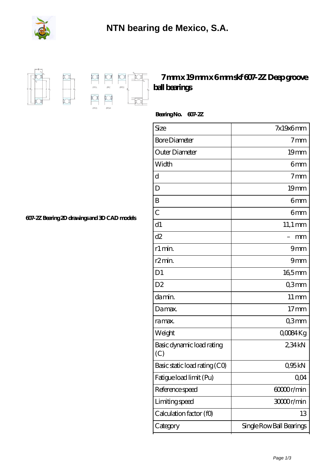



## **[7 mm x 19 mm x 6 mm skf 607-2Z Deep groove](https://m.fergusonheatncool.com/aI-64966353-skf-607-2z-deep-groove-ball-bearings.html) [ball bearings](https://m.fergusonheatncool.com/aI-64966353-skf-607-2z-deep-groove-ball-bearings.html)**

 **Bearing No. 607-2Z**

| Size                             | $7x19x6$ mm              |
|----------------------------------|--------------------------|
| <b>Bore Diameter</b>             | 7 <sub>mm</sub>          |
| Outer Diameter                   | 19mm                     |
| Width                            | 6mm                      |
| d                                | 7 <sub>mm</sub>          |
| D                                | 19mm                     |
| B                                | 6mm                      |
| $\overline{C}$                   | 6mm                      |
| d1                               | $11,1 \,\mathrm{mm}$     |
| d2                               | mm                       |
| r1 min.                          | 9mm                      |
| r2min.                           | 9mm                      |
| D <sub>1</sub>                   | 165mm                    |
| D <sub>2</sub>                   | Q3mm                     |
| da min.                          | $11 \,\mathrm{mm}$       |
| Damax.                           | 17 <sub>mm</sub>         |
| ra max.                          | Q3mm                     |
| Weight                           | QOO84Kg                  |
| Basic dynamic load rating<br>(C) | 234kN                    |
| Basic static load rating (CO)    | Q95kN                    |
| Fatigue load limit (Pu)          | 0,04                     |
| Reference speed                  | 60000r/min               |
| Limiting speed                   | 3000r/min                |
| Calculation factor (fO)          | 13                       |
| Category                         | Single Row Ball Bearings |

**[607-2Z Bearing 2D drawings and 3D CAD models](https://m.fergusonheatncool.com/pic-64966353.html)**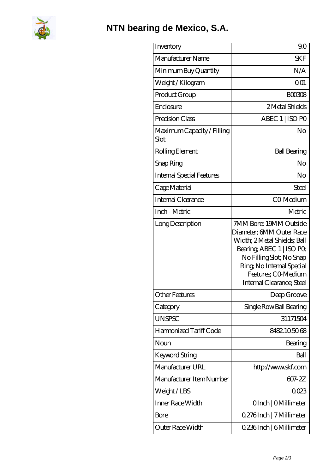

## **[NTN bearing de Mexico, S.A.](https://m.fergusonheatncool.com)**

| Inventory                          | 90                                                                                                                                                                                                                          |
|------------------------------------|-----------------------------------------------------------------------------------------------------------------------------------------------------------------------------------------------------------------------------|
| Manufacturer Name                  | <b>SKF</b>                                                                                                                                                                                                                  |
| Minimum Buy Quantity               | N/A                                                                                                                                                                                                                         |
| Weight / Kilogram                  | 0 <sub>01</sub>                                                                                                                                                                                                             |
| Product Group                      | <b>BOO308</b>                                                                                                                                                                                                               |
| Enclosure                          | 2 Metal Shields                                                                                                                                                                                                             |
| Precision Class                    | ABEC 1   ISO PO                                                                                                                                                                                                             |
| Maximum Capacity / Filling<br>Slot | No                                                                                                                                                                                                                          |
| Rolling Element                    | <b>Ball Bearing</b>                                                                                                                                                                                                         |
| Snap Ring                          | No                                                                                                                                                                                                                          |
| <b>Internal Special Features</b>   | No                                                                                                                                                                                                                          |
| Cage Material                      | Steel                                                                                                                                                                                                                       |
| Internal Clearance                 | CO-Medium                                                                                                                                                                                                                   |
| Inch - Metric                      | Metric                                                                                                                                                                                                                      |
| Long Description                   | 7MM Bore; 19MM Outside<br>Diameter; 6MM Outer Race<br>Width; 2Metal Shields; Ball<br>Bearing, ABEC 1   ISO PO,<br>No Filling Slot; No Snap<br>Ring, No Internal Special<br>Features: CO-Medium<br>Internal Clearance; Steel |
| <b>Other Features</b>              | Deep Groove                                                                                                                                                                                                                 |
| Category                           | Single Row Ball Bearing                                                                                                                                                                                                     |
| <b>UNSPSC</b>                      | 31171504                                                                                                                                                                                                                    |
| Harmonized Tariff Code             | 8482.105068                                                                                                                                                                                                                 |
| Noun                               | Bearing                                                                                                                                                                                                                     |
| Keyword String                     | Ball                                                                                                                                                                                                                        |
| Manufacturer URL                   | http://www.skf.com                                                                                                                                                                                                          |
| Manufacturer Item Number           | 607-2Z                                                                                                                                                                                                                      |
| Weight/LBS                         | 0023                                                                                                                                                                                                                        |
| Inner Race Width                   | OInch   OMillimeter                                                                                                                                                                                                         |
| Bore                               | 0.276 Inch   7 Millimeter                                                                                                                                                                                                   |
| Outer Race Width                   | 0.236Inch   6Millimeter                                                                                                                                                                                                     |